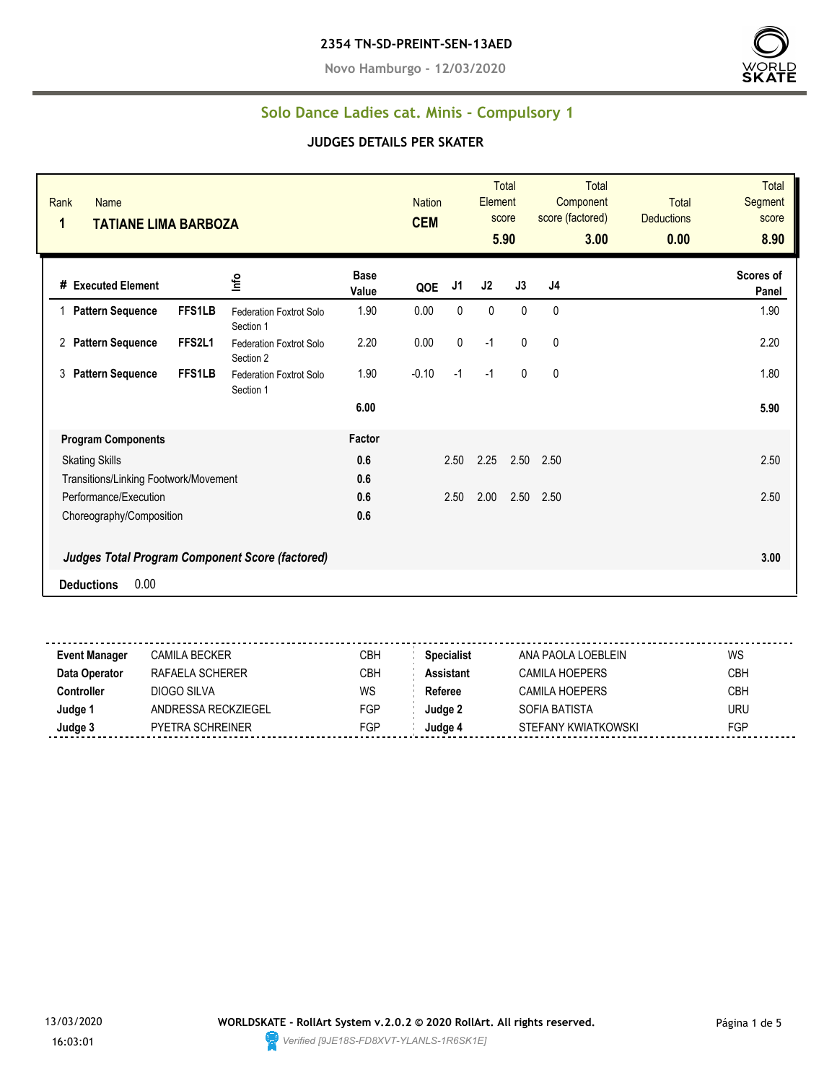**Novo Hamburgo - 12/03/2020**



### **Solo Dance Ladies cat. Minis - Compulsory 1**

| Rank<br><b>Name</b><br>$\mathbf{1}$<br><b>TATIANE LIMA BARBOZA</b>                 |               |                                             |                      | <b>Nation</b><br><b>CEM</b> |      | Element | Total<br>score<br>5.90 | Total<br>Component<br>score (factored)<br>3.00 | <b>Total</b><br><b>Deductions</b><br>0.00 | <b>Total</b><br>Segment<br>score<br>8.90 |
|------------------------------------------------------------------------------------|---------------|---------------------------------------------|----------------------|-----------------------------|------|---------|------------------------|------------------------------------------------|-------------------------------------------|------------------------------------------|
| # Executed Element                                                                 |               | lnfo                                        | <b>Base</b><br>Value | QOE                         | J1   | J2      | J3                     | J4                                             |                                           | Scores of<br>Panel                       |
| <b>Pattern Sequence</b>                                                            | <b>FFS1LB</b> | Federation Foxtrot Solo<br>Section 1        | 1.90                 | 0.00                        | 0    | 0       | 0                      | 0                                              |                                           | 1.90                                     |
| <b>Pattern Sequence</b><br>2                                                       | FFS2L1        | <b>Federation Foxtrot Solo</b><br>Section 2 | 2.20                 | 0.00                        | 0    | $-1$    | 0                      | 0                                              |                                           | 2.20                                     |
| 3<br><b>Pattern Sequence</b>                                                       | FFS1LB        | <b>Federation Foxtrot Solo</b><br>Section 1 | 1.90                 | $-0.10$                     | $-1$ | $-1$    | $\mathbf{0}$           | 0                                              |                                           | 1.80                                     |
|                                                                                    |               |                                             | 6.00                 |                             |      |         |                        |                                                |                                           | 5.90                                     |
| <b>Program Components</b>                                                          |               |                                             | Factor               |                             |      |         |                        |                                                |                                           |                                          |
| <b>Skating Skills</b>                                                              |               |                                             | 0.6                  |                             | 2.50 | 2.25    | 2.50                   | 2.50                                           |                                           | 2.50                                     |
| Transitions/Linking Footwork/Movement                                              |               |                                             | 0.6                  |                             |      |         |                        |                                                |                                           |                                          |
| Performance/Execution                                                              |               |                                             | 0.6                  |                             | 2.50 | 2.00    | 2.50                   | 2.50                                           |                                           | 2.50                                     |
| Choreography/Composition<br><b>Judges Total Program Component Score (factored)</b> |               |                                             | 0.6                  |                             |      |         |                        |                                                |                                           | 3.00                                     |
| 0.00<br><b>Deductions</b>                                                          |               |                                             |                      |                             |      |         |                        |                                                |                                           |                                          |
|                                                                                    |               |                                             |                      |                             |      |         |                        |                                                |                                           |                                          |

| <b>Event Manager</b> | CAMILA BECKER           | <b>CBH</b> | <b>Specialist</b> | ANA PAOLA LOEBLEIN  | WS         |
|----------------------|-------------------------|------------|-------------------|---------------------|------------|
| Data Operator        | RAFAFI A SCHFRFR        | CBH        | Assistant         | CAMILA HOFPERS      | <b>CBH</b> |
| Controller           | DIOGO SILVA             | WS         | Referee           | CAMILA HOFPERS      | <b>CBH</b> |
| Judge 1              | ANDRESSA RECKZIEGEL     | FGP        | Judge 2           | SOFIA BATISTA       | <b>URU</b> |
| Judge 3              | <b>PYETRA SCHREINER</b> | <b>FGP</b> | Judge 4           | STEFANY KWIATKOWSKI | <b>FGP</b> |
|                      |                         |            |                   |                     |            |

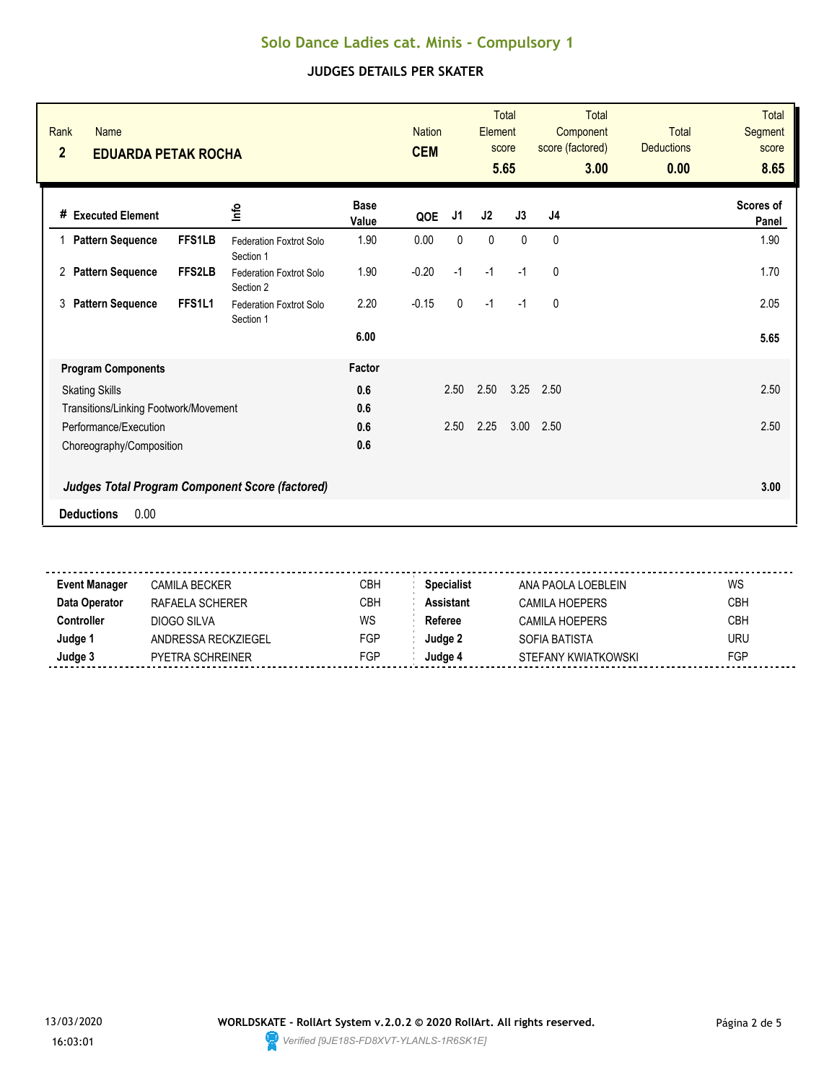| Rank<br><b>Name</b><br>$\overline{2}$<br><b>EDUARDA PETAK ROCHA</b> |                                      |                      | <b>Nation</b><br><b>CEM</b> |              | Element     | <b>Total</b><br>score<br>5.65 | <b>Total</b><br>Component<br>score (factored)<br>3.00 | <b>Total</b><br><b>Deductions</b><br>0.00 | <b>Total</b><br><b>Segment</b><br>score<br>8.65 |
|---------------------------------------------------------------------|--------------------------------------|----------------------|-----------------------------|--------------|-------------|-------------------------------|-------------------------------------------------------|-------------------------------------------|-------------------------------------------------|
| <b>Executed Element</b><br>#                                        | ۴ů                                   | <b>Base</b><br>Value | QOE                         | J1           | J2          | J3                            | J4                                                    |                                           | Scores of<br>Panel                              |
| <b>Pattern Sequence</b><br><b>FFS1LB</b>                            | Federation Foxtrot Solo<br>Section 1 | 1.90                 | 0.00                        | 0            | $\mathbf 0$ | $\mathbf{0}$                  | 0                                                     |                                           | 1.90                                            |
| FFS2LB<br><b>Pattern Sequence</b><br>2                              | Federation Foxtrot Solo<br>Section 2 | 1.90                 | $-0.20$                     | $-1$         | $-1$        | $-1$                          | 0                                                     |                                           | 1.70                                            |
| FFS1L1<br><b>Pattern Sequence</b><br>3                              | Federation Foxtrot Solo<br>Section 1 | 2.20                 | $-0.15$                     | $\mathbf{0}$ | $-1$        | $-1$                          | $\mathbf{0}$                                          |                                           | 2.05                                            |
|                                                                     |                                      | 6.00                 |                             |              |             |                               |                                                       |                                           | 5.65                                            |
| <b>Program Components</b>                                           |                                      | Factor               |                             |              |             |                               |                                                       |                                           |                                                 |
| <b>Skating Skills</b>                                               |                                      | 0.6                  |                             | 2.50         | 2.50        | 3.25                          | 2.50                                                  |                                           | 2.50                                            |
| Transitions/Linking Footwork/Movement                               |                                      | 0.6                  |                             |              |             |                               |                                                       |                                           |                                                 |
| Performance/Execution                                               |                                      | 0.6                  |                             | 2.50         | 2.25        | 3.00                          | 2.50                                                  |                                           | 2.50                                            |
| Choreography/Composition                                            |                                      | 0.6                  |                             |              |             |                               |                                                       |                                           |                                                 |
| Judges Total Program Component Score (factored)                     |                                      |                      |                             |              |             |                               |                                                       |                                           | 3.00                                            |
| 0.00<br><b>Deductions</b>                                           |                                      |                      |                             |              |             |                               |                                                       |                                           |                                                 |

| <b>Event Manager</b> | CAMILA BECKER       | СВН | <b>Specialist</b> | ANA PAOLA LOEBLEIN  | WS         |
|----------------------|---------------------|-----|-------------------|---------------------|------------|
| Data Operator        | RAFAELA SCHERER     | СВН | Assistant         | CAMILA HOFPFRS      | <b>CBH</b> |
| Controller           | DIOGO SILVA         | WS  | Referee           | CAMILA HOFPFRS      | <b>CBH</b> |
| Judge '              | ANDRESSA RECKZIEGEL | FGP | Judae 2           | SOFIA BATISTA       | uru        |
| Judge 3              | PYFTRA SCHRFINFR    | FGP | ⊿udae ^           | STEFANY KWIATKOWSKI | FGP        |
|                      |                     |     |                   |                     |            |

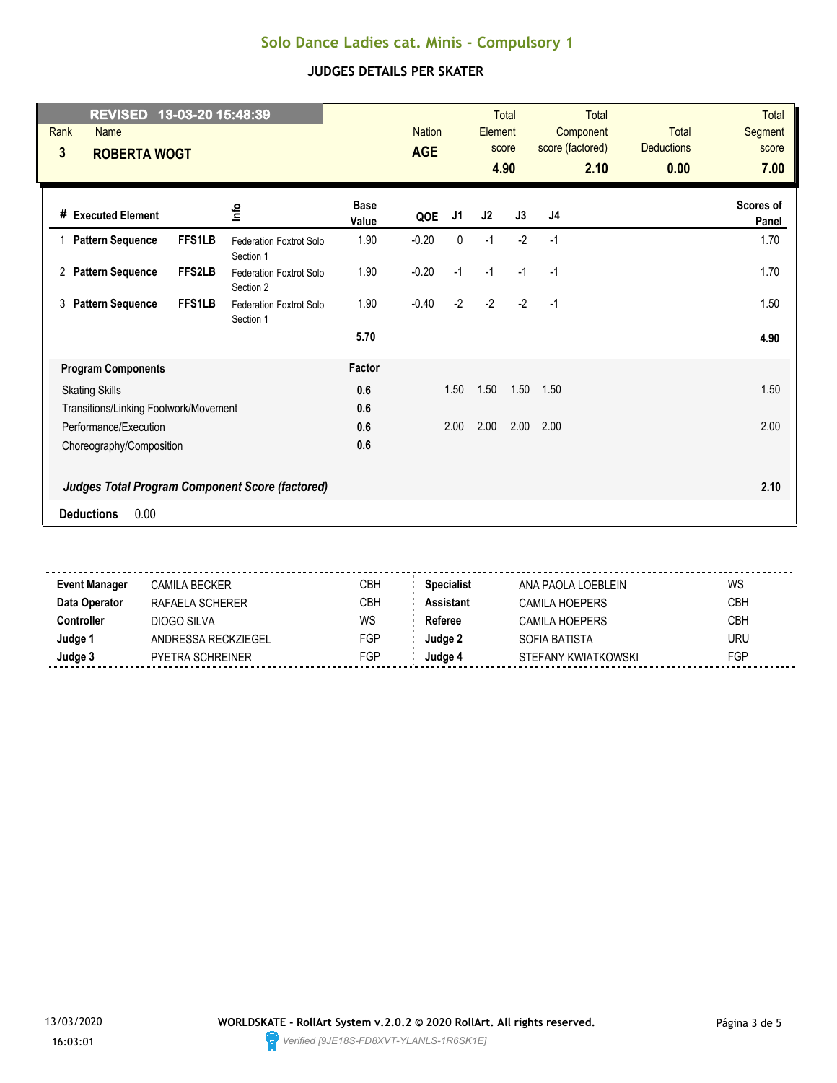| REVISED 13-03-20 15:48:39<br>Rank<br><b>Name</b><br>3<br><b>ROBERTA WOGT</b> |                                             |                      | <b>Nation</b><br><b>AGE</b> |      | <b>Element</b> | <b>Total</b><br>score<br>4.90 | <b>Total</b><br>Component<br>score (factored)<br>2.10 | <b>Total</b><br><b>Deductions</b><br>0.00 | <b>Total</b><br>Segment<br>score<br>7.00 |
|------------------------------------------------------------------------------|---------------------------------------------|----------------------|-----------------------------|------|----------------|-------------------------------|-------------------------------------------------------|-------------------------------------------|------------------------------------------|
| # Executed Element                                                           | ٩ų                                          | <b>Base</b><br>Value | QOE                         | J1   | J2             | J3                            | J <sub>4</sub>                                        |                                           | <b>Scores of</b><br>Panel                |
| <b>FFS1LB</b><br><b>Pattern Sequence</b><br>$\mathbf{1}$                     | <b>Federation Foxtrot Solo</b><br>Section 1 | 1.90                 | $-0.20$                     | 0    | $-1$           | $-2$                          | $-1$                                                  |                                           | 1.70                                     |
| <b>Pattern Sequence</b><br><b>FFS2LB</b><br>2                                | <b>Federation Foxtrot Solo</b><br>Section 2 | 1.90                 | $-0.20$                     | $-1$ | $-1$           | $-1$                          | $-1$                                                  |                                           | 1.70                                     |
| <b>FFS1LB</b><br><b>Pattern Sequence</b><br>3                                | <b>Federation Foxtrot Solo</b><br>Section 1 | 1.90                 | $-0.40$                     | $-2$ | $-2$           | $-2$                          | $-1$                                                  |                                           | 1.50                                     |
|                                                                              |                                             | 5.70                 |                             |      |                |                               |                                                       |                                           | 4.90                                     |
| <b>Program Components</b>                                                    |                                             | Factor               |                             |      |                |                               |                                                       |                                           |                                          |
| <b>Skating Skills</b>                                                        |                                             | 0.6                  |                             | 1.50 | 1.50           | 1.50                          | 1.50                                                  |                                           | 1.50                                     |
| Transitions/Linking Footwork/Movement                                        |                                             | 0.6                  |                             |      |                |                               |                                                       |                                           |                                          |
| Performance/Execution                                                        |                                             | 0.6                  |                             | 2.00 | 2.00           | 2.00                          | 2.00                                                  |                                           | 2.00                                     |
| Choreography/Composition                                                     |                                             | 0.6                  |                             |      |                |                               |                                                       |                                           |                                          |
| <b>Judges Total Program Component Score (factored)</b>                       |                                             |                      |                             |      |                |                               |                                                       |                                           | 2.10                                     |
| 0.00<br><b>Deductions</b>                                                    |                                             |                      |                             |      |                |                               |                                                       |                                           |                                          |

| <b>Event Manager</b> | CAMILA BECKER-          | CBH        | <b>Specialist</b> | ANA PAOLA LOEBLEIN  | WS         |
|----------------------|-------------------------|------------|-------------------|---------------------|------------|
| Data Operator        | RAFAELA SCHERFR         | СВН        | Assistant         | CAMILA HOFPFRS      | CBH        |
| Controller           | DIOGO SILVA             | WS         | Referee           | CAMILA HOEPERS      | <b>CBH</b> |
| Judge                | ANDRESSA RECKZIEGEL     | <b>FGP</b> | Judae 2           | SOFIA BATISTA       | uru        |
| Judge ?              | <b>PYETRA SCHREINER</b> | FGP        | ⊿udae ∥           | STEFANY KWIATKOWSKI | FGP        |
|                      |                         |            |                   |                     |            |

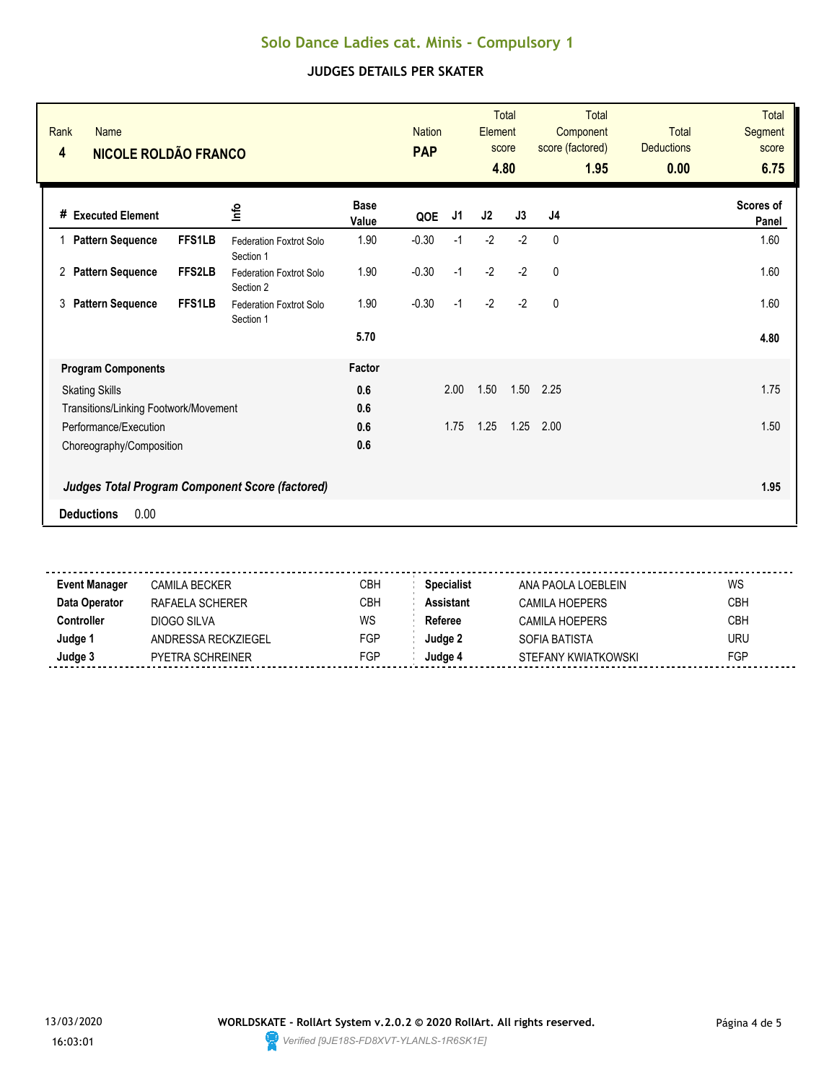| Rank<br><b>Name</b><br><b>NICOLE ROLDÃO FRANCO</b><br>4 |                                             |                      | <b>Nation</b><br><b>PAP</b> |      | Element | <b>Total</b><br>score<br>4.80 | <b>Total</b><br>Component<br>score (factored)<br>1.95 | <b>Total</b><br><b>Deductions</b><br>0.00 | <b>Total</b><br><b>Segment</b><br>score<br>6.75 |
|---------------------------------------------------------|---------------------------------------------|----------------------|-----------------------------|------|---------|-------------------------------|-------------------------------------------------------|-------------------------------------------|-------------------------------------------------|
| <b>Executed Element</b><br>#                            | ۴ů                                          | <b>Base</b><br>Value | QOE                         | J1   | J2      | J3                            | J <sub>4</sub>                                        |                                           | Scores of<br>Panel                              |
| <b>Pattern Sequence</b><br><b>FFS1LB</b>                | <b>Federation Foxtrot Solo</b><br>Section 1 | 1.90                 | $-0.30$                     | $-1$ | $-2$    | $-2$                          | $\mathbf{0}$                                          |                                           | 1.60                                            |
| FFS2LB<br><b>Pattern Sequence</b><br>2                  | Federation Foxtrot Solo<br>Section 2        | 1.90                 | $-0.30$                     | $-1$ | $-2$    | $-2$                          | 0                                                     |                                           | 1.60                                            |
| <b>FFS1LB</b><br><b>Pattern Sequence</b><br>3           | Federation Foxtrot Solo<br>Section 1        | 1.90                 | $-0.30$                     | $-1$ | $-2$    | $-2$                          | $\mathbf{0}$                                          |                                           | 1.60                                            |
|                                                         |                                             | 5.70                 |                             |      |         |                               |                                                       |                                           | 4.80                                            |
| <b>Program Components</b>                               |                                             | Factor               |                             |      |         |                               |                                                       |                                           |                                                 |
| <b>Skating Skills</b>                                   |                                             | 0.6                  |                             | 2.00 | 1.50    | 1.50                          | 2.25                                                  |                                           | 1.75                                            |
| Transitions/Linking Footwork/Movement                   |                                             | 0.6                  |                             |      |         |                               |                                                       |                                           |                                                 |
| Performance/Execution                                   |                                             | 0.6                  |                             | 1.75 | 1.25    | 1.25                          | 2.00                                                  |                                           | 1.50                                            |
| Choreography/Composition                                |                                             | 0.6                  |                             |      |         |                               |                                                       |                                           |                                                 |
| Judges Total Program Component Score (factored)         |                                             |                      |                             |      |         |                               |                                                       |                                           | 1.95                                            |
| 0.00<br><b>Deductions</b>                               |                                             |                      |                             |      |         |                               |                                                       |                                           |                                                 |

| <b>Event Manager</b> | CAMILA BECKER       | СВН | <b>Specialist</b> | ANA PAOLA LOEBLEIN  | WS         |
|----------------------|---------------------|-----|-------------------|---------------------|------------|
| Data Operator        | RAFAELA SCHERER     | СВН | Assistant         | CAMILA HOFPFRS      | <b>CBH</b> |
| Controller           | DIOGO SILVA         | WS  | Referee           | CAMILA HOFPFRS      | <b>CBH</b> |
| Judge '              | ANDRESSA RECKZIEGEL | FGP | Judae 2           | SOFIA BATISTA       | uru        |
| Judge 3              | PYFTRA SCHRFINFR    | FGP | ⊿udae ^           | STEFANY KWIATKOWSKI | FGP        |
|                      |                     |     |                   |                     |            |